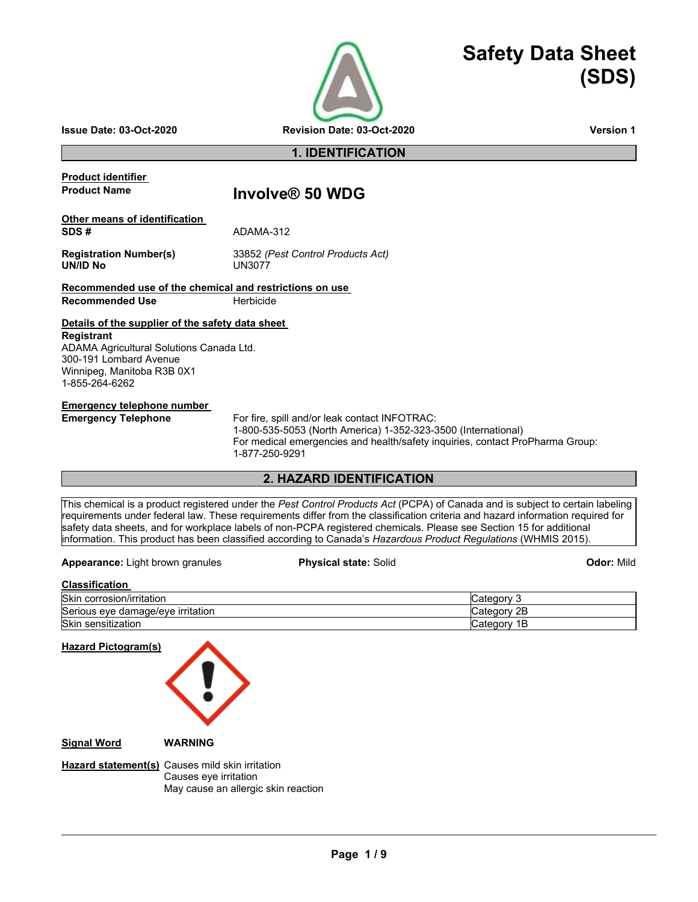

# **Safety Data Sheet (SDS)**

**Issue Date: 03-Oct-2020 Revision Date: 03-Oct-2020 Version 1**

## **1. IDENTIFICATION**

**Product identifier** 

## **Product Name Involve® 50 WDG**

| Other means of identification |           |
|-------------------------------|-----------|
| SDS#                          | ADAMA-312 |
|                               |           |

UN/ID No

**Registration Number(s)** 33852 *(Pest Control Products Act)*

## **Recommended use of the chemical and restrictions on use**

**Recommended Use <b>Herbicide** 

## **Details of the supplier of the safety data sheet**

**Registrant** ADAMA Agricultural Solutions Canada Ltd. 300-191 Lombard Avenue Winnipeg, Manitoba R3B 0X1 1-855-264-6262

#### **Emergency telephone number**

**Emergency Telephone** For fire, spill and/or leak contact INFOTRAC:

1-800-535-5053 (North America) 1-352-323-3500 (International) For medical emergencies and health/safety inquiries, contact ProPharma Group: 1-877-250-9291

## **2. HAZARD IDENTIFICATION**

This chemical is a product registered under the *Pest Control Products Act* (PCPA) of Canada and is subject to certain labeling requirements under federal law. These requirements differ from the classification criteria and hazard information required for safety data sheets, and for workplace labels of non-PCPA registered chemicals. Please see Section 15 for additional information. This product has been classified according to Canada's *Hazardous Product Regulations* (WHMIS 2015).

**Appearance:** Light brown granules **Physical state:** Solid **Odor:** Mild

## **Classification**

| <b>Skir</b>            | ∩∩r                                 |
|------------------------|-------------------------------------|
| .                      | `oto∙                               |
| corrosion/irritation   | v                                   |
| Serious                | 2E                                  |
| damage/eve irritation  | .10r                                |
| eve                    | Cate                                |
| Skir<br>≅sensitization | 1Ь.<br>.1∩r<br>`≏t≏<br>valeuvi<br>ີ |

**Hazard Pictogram(s) Signal Word WARNING**

**Hazard statement(s)** Causes mild skin irritation Causes eye irritation May cause an allergic skin reaction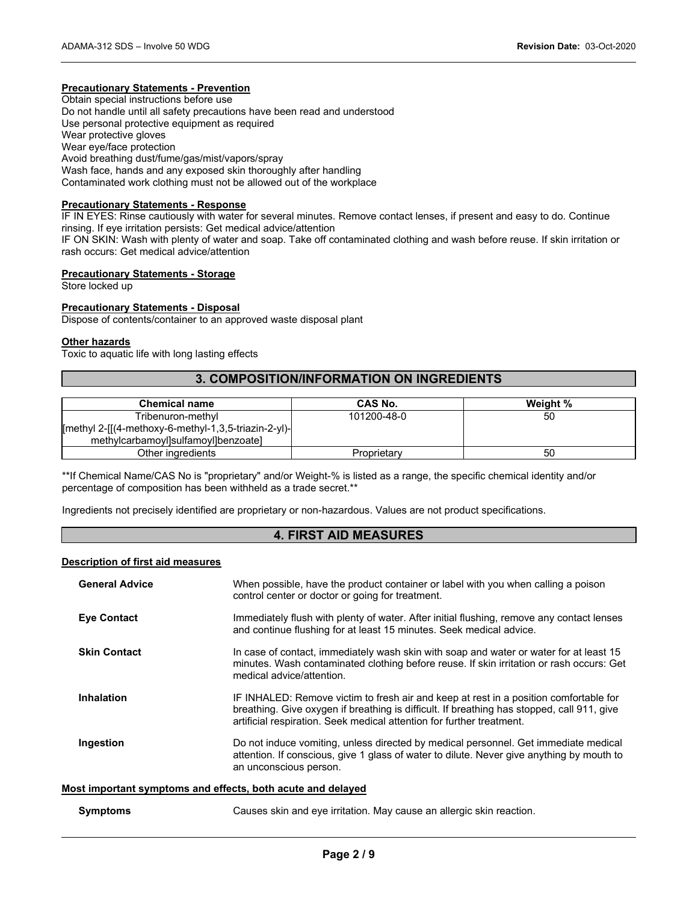## **Precautionary Statements - Prevention**

Obtain special instructions before use Do not handle until all safety precautions have been read and understood Use personal protective equipment as required Wear protective gloves Wear eye/face protection Avoid breathing dust/fume/gas/mist/vapors/spray Wash face, hands and any exposed skin thoroughly after handling Contaminated work clothing must not be allowed out of the workplace

#### **Precautionary Statements - Response**

IF IN EYES: Rinse cautiously with water for several minutes. Remove contact lenses, if present and easy to do. Continue rinsing. If eye irritation persists: Get medical advice/attention

IF ON SKIN: Wash with plenty of water and soap. Take off contaminated clothing and wash before reuse. If skin irritation or rash occurs: Get medical advice/attention

#### **Precautionary Statements - Storage**

Store locked up

#### **Precautionary Statements - Disposal**

Dispose of contents/container to an approved waste disposal plant

#### **Other hazards**

Toxic to aquatic life with long lasting effects

## **3. COMPOSITION/INFORMATION ON INGREDIENTS**

| <b>Chemical name</b>                                            | CAS No.     | Weight % |
|-----------------------------------------------------------------|-------------|----------|
| Tribenuron-methyl                                               | 101200-48-0 | 50       |
| $[$ methyl 2- $[$ [(4-methoxy-6-methyl-1,3,5-triazin-2-yl)- $]$ |             |          |
| methylcarbamoyl]sulfamoyl]benzoate]                             |             |          |
| Other ingredients                                               | Proprietary | 50       |

\*\*If Chemical Name/CAS No is "proprietary" and/or Weight-% is listed as a range, the specific chemical identity and/or percentage of composition has been withheld as a trade secret.\*\*

Ingredients not precisely identified are proprietary or non-hazardous. Values are not product specifications.

## **4. FIRST AID MEASURES**

#### **Description of first aid measures**

| <b>General Advice</b>                                       | When possible, have the product container or label with you when calling a poison<br>control center or doctor or going for treatment.                                                                                                                        |
|-------------------------------------------------------------|--------------------------------------------------------------------------------------------------------------------------------------------------------------------------------------------------------------------------------------------------------------|
| <b>Eve Contact</b>                                          | Immediately flush with plenty of water. After initial flushing, remove any contact lenses<br>and continue flushing for at least 15 minutes. Seek medical advice.                                                                                             |
| <b>Skin Contact</b>                                         | In case of contact, immediately wash skin with soap and water or water for at least 15<br>minutes. Wash contaminated clothing before reuse. If skin irritation or rash occurs: Get<br>medical advice/attention.                                              |
| <b>Inhalation</b>                                           | IF INHALED: Remove victim to fresh air and keep at rest in a position comfortable for<br>breathing. Give oxygen if breathing is difficult. If breathing has stopped, call 911, give<br>artificial respiration. Seek medical attention for further treatment. |
| Ingestion                                                   | Do not induce vomiting, unless directed by medical personnel. Get immediate medical<br>attention. If conscious, give 1 glass of water to dilute. Never give anything by mouth to<br>an unconscious person.                                                   |
| Most important symptoms and effects, both acute and delayed |                                                                                                                                                                                                                                                              |

| Symptoms |  | Causes skin and eve irritation. May cause an allergic skin reaction. |
|----------|--|----------------------------------------------------------------------|
|----------|--|----------------------------------------------------------------------|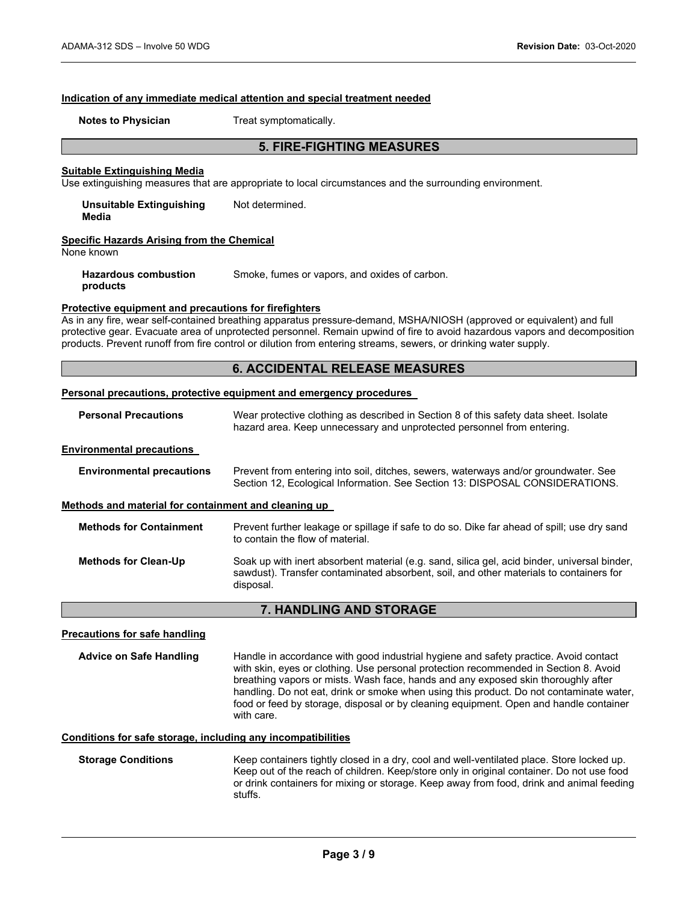#### **Indication of any immediate medical attention and special treatment needed**

**Notes to Physician**  Treat symptomatically.

## **5. FIRE-FIGHTING MEASURES**

#### **Suitable Extinguishing Media**

Use extinguishing measures that are appropriate to local circumstances and the surrounding environment.

**Unsuitable Extinguishing Media**  Not determined.

#### **Specific Hazards Arising from the Chemical**

None known

**Hazardous combustion products**  Smoke, fumes or vapors, and oxides of carbon.

#### **Protective equipment and precautions for firefighters**

As in any fire, wear self-contained breathing apparatus pressure-demand, MSHA/NIOSH (approved or equivalent) and full protective gear. Evacuate area of unprotected personnel. Remain upwind of fire to avoid hazardous vapors and decomposition products. Prevent runoff from fire control or dilution from entering streams, sewers, or drinking water supply.

## **6. ACCIDENTAL RELEASE MEASURES**

#### **Personal precautions, protective equipment and emergency procedures**

| <b>Personal Precautions</b>                          | Wear protective clothing as described in Section 8 of this safety data sheet. Isolate<br>hazard area. Keep unnecessary and unprotected personnel from entering.                                     |
|------------------------------------------------------|-----------------------------------------------------------------------------------------------------------------------------------------------------------------------------------------------------|
| <b>Environmental precautions</b>                     |                                                                                                                                                                                                     |
| <b>Environmental precautions</b>                     | Prevent from entering into soil, ditches, sewers, waterways and/or groundwater. See<br>Section 12, Ecological Information. See Section 13: DISPOSAL CONSIDERATIONS.                                 |
| Methods and material for containment and cleaning up |                                                                                                                                                                                                     |
| <b>Methods for Containment</b>                       | Prevent further leakage or spillage if safe to do so. Dike far ahead of spill; use dry sand<br>to contain the flow of material.                                                                     |
| <b>Methods for Clean-Up</b>                          | Soak up with inert absorbent material (e.g. sand, silica gel, acid binder, universal binder,<br>sawdust). Transfer contaminated absorbent, soil, and other materials to containers for<br>disposal. |

## **7. HANDLING AND STORAGE**

#### **Precautions for safe handling**

**Advice on Safe Handling** Handle in accordance with good industrial hygiene and safety practice. Avoid contact with skin, eyes or clothing. Use personal protection recommended in Section 8. Avoid breathing vapors or mists. Wash face, hands and any exposed skin thoroughly after handling. Do not eat, drink or smoke when using this product. Do not contaminate water, food or feed by storage, disposal or by cleaning equipment. Open and handle container with care.

## **Conditions for safe storage, including any incompatibilities**

**Storage Conditions** Keep containers tightly closed in a dry, cool and well-ventilated place. Store locked up. Keep out of the reach of children. Keep/store only in original container. Do not use food or drink containers for mixing or storage. Keep away from food, drink and animal feeding stuffs.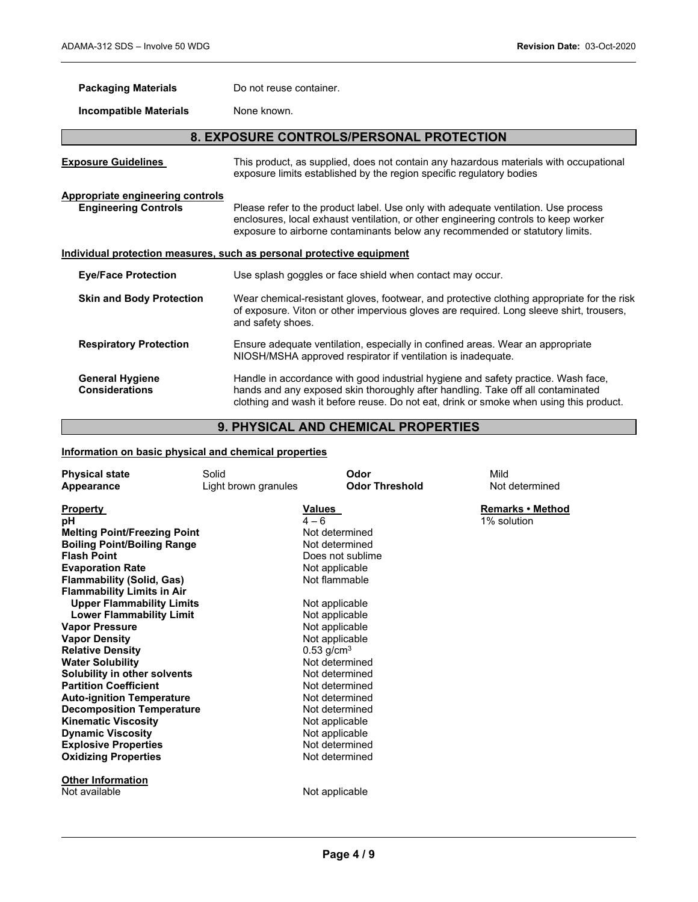| <b>Packaging Materials</b>                                                   | Do not reuse container.                                                                                                                                                                                                                                   |  |
|------------------------------------------------------------------------------|-----------------------------------------------------------------------------------------------------------------------------------------------------------------------------------------------------------------------------------------------------------|--|
| <b>Incompatible Materials</b>                                                | None known.                                                                                                                                                                                                                                               |  |
| 8. EXPOSURE CONTROLS/PERSONAL PROTECTION                                     |                                                                                                                                                                                                                                                           |  |
| <b>Exposure Guidelines</b>                                                   | This product, as supplied, does not contain any hazardous materials with occupational<br>exposure limits established by the region specific regulatory bodies                                                                                             |  |
| <b>Appropriate engineering controls</b><br><b>Engineering Controls</b>       | Please refer to the product label. Use only with adequate ventilation. Use process<br>enclosures, local exhaust ventilation, or other engineering controls to keep worker<br>exposure to airborne contaminants below any recommended or statutory limits. |  |
| <u>Individual protection measures, such as personal protective equipment</u> |                                                                                                                                                                                                                                                           |  |
| <b>Eye/Face Protection</b>                                                   | Use splash goggles or face shield when contact may occur.                                                                                                                                                                                                 |  |
| <b>Skin and Body Protection</b>                                              | Wear chemical-resistant gloves, footwear, and protective clothing appropriate for the risk<br>of exposure. Viton or other impervious gloves are required. Long sleeve shirt, trousers,<br>and safety shoes.                                               |  |
| <b>Respiratory Protection</b>                                                | Ensure adequate ventilation, especially in confined areas. Wear an appropriate<br>NIOSH/MSHA approved respirator if ventilation is inadequate.                                                                                                            |  |
| <b>General Hygiene</b><br><b>Considerations</b>                              | Handle in accordance with good industrial hygiene and safety practice. Wash face,<br>hands and any exposed skin thoroughly after handling. Take off all contaminated                                                                                      |  |

## **9. PHYSICAL AND CHEMICAL PROPERTIES**

clothing and wash it before reuse. Do not eat, drink or smoke when using this product.

## **Information on basic physical and chemical properties**

| <b>Physical state</b>               | Solid                | Odor                     | Mild             |
|-------------------------------------|----------------------|--------------------------|------------------|
| Appearance                          | Light brown granules | <b>Odor Threshold</b>    | Not determined   |
|                                     |                      |                          |                  |
| <b>Property</b>                     |                      | <u>Values</u>            | Remarks • Method |
| рH                                  |                      | $4 - 6$                  | 1% solution      |
| <b>Melting Point/Freezing Point</b> |                      | Not determined           |                  |
| <b>Boiling Point/Boiling Range</b>  |                      | Not determined           |                  |
| <b>Flash Point</b>                  |                      | Does not sublime         |                  |
| <b>Evaporation Rate</b>             |                      | Not applicable           |                  |
| <b>Flammability (Solid, Gas)</b>    |                      | Not flammable            |                  |
| <b>Flammability Limits in Air</b>   |                      |                          |                  |
| <b>Upper Flammability Limits</b>    |                      | Not applicable           |                  |
| <b>Lower Flammability Limit</b>     |                      | Not applicable           |                  |
| <b>Vapor Pressure</b>               |                      | Not applicable           |                  |
| <b>Vapor Density</b>                |                      | Not applicable           |                  |
| <b>Relative Density</b>             |                      | $0.53$ g/cm <sup>3</sup> |                  |
| <b>Water Solubility</b>             |                      | Not determined           |                  |
| Solubility in other solvents        |                      | Not determined           |                  |
| <b>Partition Coefficient</b>        |                      | Not determined           |                  |
| <b>Auto-ignition Temperature</b>    |                      | Not determined           |                  |
| <b>Decomposition Temperature</b>    |                      | Not determined           |                  |
| <b>Kinematic Viscosity</b>          |                      | Not applicable           |                  |
| <b>Dynamic Viscosity</b>            |                      | Not applicable           |                  |
| <b>Explosive Properties</b>         |                      | Not determined           |                  |
| <b>Oxidizing Properties</b>         |                      | Not determined           |                  |
|                                     |                      |                          |                  |
| <b>Other Information</b>            |                      |                          |                  |
| Not available                       |                      | Not applicable           |                  |
|                                     |                      |                          |                  |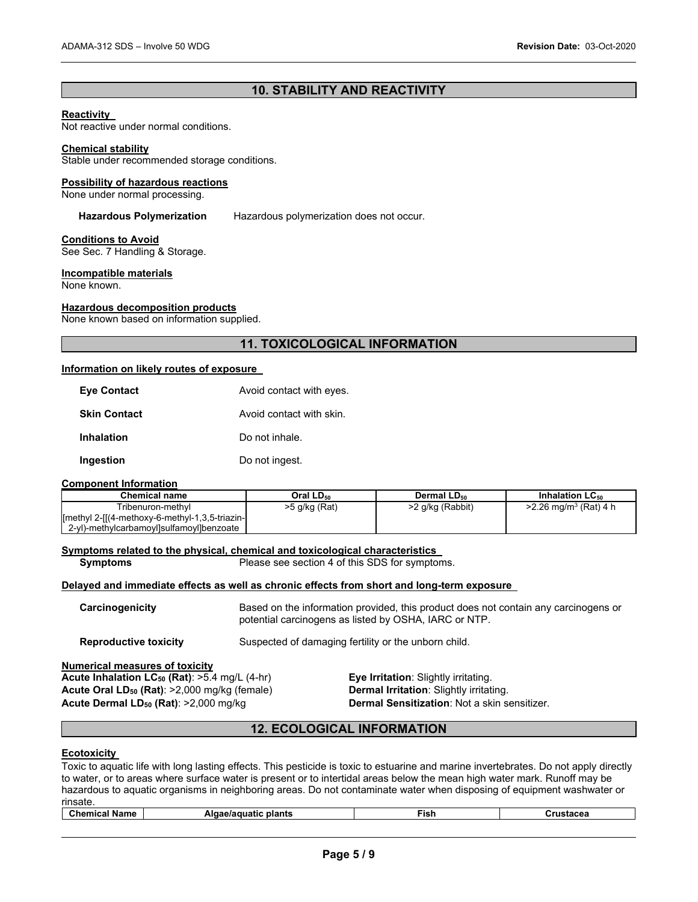## **10. STABILITY AND REACTIVITY**

#### **Reactivity**

Not reactive under normal conditions.

## **Chemical stability**

Stable under recommended storage conditions.

#### **Possibility of hazardous reactions**

None under normal processing.

#### **Hazardous Polymerization** Hazardous polymerization does not occur.

#### **Conditions to Avoid**

See Sec. 7 Handling & Storage.

#### **Incompatible materials**

None known.

#### **Hazardous decomposition products**

None known based on information supplied.

## **11. TOXICOLOGICAL INFORMATION**

#### **Information on likely routes of exposure**

| <b>Eye Contact</b>  | Avoid contact with eyes. |
|---------------------|--------------------------|
| <b>Skin Contact</b> | Avoid contact with skin. |
| <b>Inhalation</b>   | Do not inhale.           |
| Ingestion           | Do not ingest.           |

#### **Component Information**

| <b>Chemical name</b>                                        | Oral LD <sub>50</sub> | Dermal LD <sub>50</sub> | Inhalation $LC_{50}$                |
|-------------------------------------------------------------|-----------------------|-------------------------|-------------------------------------|
| Tribenuron-methvl                                           | >5 g/kg (Rat)         | >2 g/kg (Rabbit)        | $>2.26$ mg/m <sup>3</sup> (Rat) 4 h |
| $[$ methyl 2- $[$ $(4$ -methoxy-6-methyl-1,3,5-triazin- $[$ |                       |                         |                                     |
| 2-yl)-methylcarbamoyl]sulfamoyl]benzoate                    |                       |                         |                                     |

#### **Symptoms related to the physical, chemical and toxicological characteristics**

**Symptoms** Please see section 4 of this SDS for symptoms.

#### **Delayed and immediate effects as well as chronic effects from short and long-term exposure**

**Carcinogenicity** Based on the information provided, this product does not contain any carcinogens or potential carcinogens as listed by OSHA, IARC or NTP.

**Reproductive toxicity** Suspected of damaging fertility or the unborn child.

#### **Numerical measures of toxicity**

Acute Inhalation LC<sub>50</sub> (Rat): >5.4 mg/L (4-hr) **Eye Irritation**: Slightly irritating.<br>**Acute Oral LD<sub>50</sub> (Rat): >2,000 mg/kg (female) <b>Dermal Irritation**: Slightly irritating. **Acute Oral LD<sub>50</sub> (Rat)**: >2,000 mg/kg (female) **Acute Dermal LD50 (Rat)**: >2,000 mg/kg **Dermal Sensitization**: Not a skin sensitizer.

## **12. ECOLOGICAL INFORMATION**

#### **Ecotoxicity**

Toxic to aquatic life with long lasting effects. This pesticide is toxic to estuarine and marine invertebrates. Do not apply directly to water, or to areas where surface water is present or to intertidal areas below the mean high water mark. Runoff may be hazardous to aquatic organisms in neighboring areas. Do not contaminate water when disposing of equipment washwater or rinsate.

| Name<br>-ish<br>plants<br>Alc<br>uatic<br>…nom∵<br>.<br>. |
|-----------------------------------------------------------|
|-----------------------------------------------------------|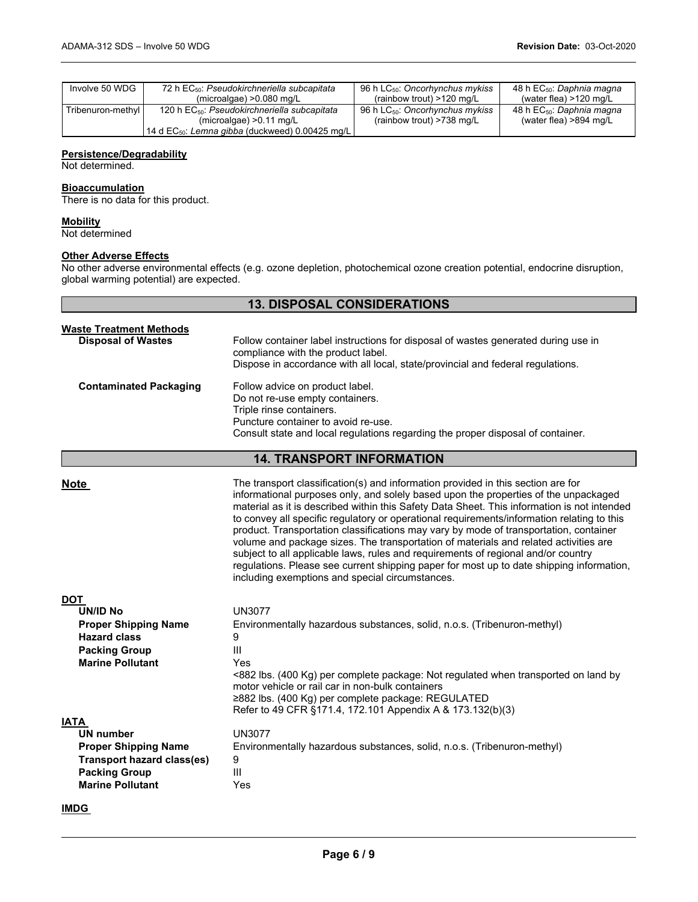| Involve 50 WDG    | 72 h EC <sub>50</sub> : Pseudokirchneriella subcapitata<br>(microalgae) $>0.080$ mg/L | 96 h $LC_{50}$ : Oncorhynchus mykiss<br>(rainbow trout) $>120$ mg/L | 48 h EC <sub>50</sub> : Daphnia magna<br>(water flea) $>120$ mg/L |
|-------------------|---------------------------------------------------------------------------------------|---------------------------------------------------------------------|-------------------------------------------------------------------|
| Tribenuron-methyl | 120 h EC <sub>50</sub> : Pseudokirchneriella subcapitata                              | 96 h LC <sub>50</sub> : Oncorhynchus mykiss                         | 48 h EC <sub>50</sub> : Daphnia magna                             |
|                   | (microalgae) $>0.11$ mg/L                                                             | (rainbow trout) >738 mg/L                                           | (water flea) $>894$ mg/L                                          |
|                   | 14 d $EC_{50}$ : Lemna gibba (duckweed) 0.00425 mg/L                                  |                                                                     |                                                                   |

## **Persistence/Degradability**

Not determined.

## **Bioaccumulation**

There is no data for this product.

#### **Mobility**

Not determined

## **Other Adverse Effects**

No other adverse environmental effects (e.g. ozone depletion, photochemical ozone creation potential, endocrine disruption, global warming potential) are expected.

## **13. DISPOSAL CONSIDERATIONS**

| <b>Waste Treatment Methods</b><br><b>Disposal of Wastes</b> | Follow container label instructions for disposal of wastes generated during use in<br>compliance with the product label.<br>Dispose in accordance with all local, state/provincial and federal regulations.              |
|-------------------------------------------------------------|--------------------------------------------------------------------------------------------------------------------------------------------------------------------------------------------------------------------------|
| <b>Contaminated Packaging</b>                               | Follow advice on product label.<br>Do not re-use empty containers.<br>Triple rinse containers.<br>Puncture container to avoid re-use.<br>Consult state and local regulations regarding the proper disposal of container. |

## **14. TRANSPORT INFORMATION**

| Note                                               | The transport classification(s) and information provided in this section are for<br>informational purposes only, and solely based upon the properties of the unpackaged<br>material as it is described within this Safety Data Sheet. This information is not intended<br>to convey all specific regulatory or operational requirements/information relating to this<br>product. Transportation classifications may vary by mode of transportation, container<br>volume and package sizes. The transportation of materials and related activities are<br>subject to all applicable laws, rules and requirements of regional and/or country<br>regulations. Please see current shipping paper for most up to date shipping information,<br>including exemptions and special circumstances. |
|----------------------------------------------------|-------------------------------------------------------------------------------------------------------------------------------------------------------------------------------------------------------------------------------------------------------------------------------------------------------------------------------------------------------------------------------------------------------------------------------------------------------------------------------------------------------------------------------------------------------------------------------------------------------------------------------------------------------------------------------------------------------------------------------------------------------------------------------------------|
| DOT                                                |                                                                                                                                                                                                                                                                                                                                                                                                                                                                                                                                                                                                                                                                                                                                                                                           |
| UN/ID No                                           | <b>UN3077</b>                                                                                                                                                                                                                                                                                                                                                                                                                                                                                                                                                                                                                                                                                                                                                                             |
|                                                    | Environmentally hazardous substances, solid, n.o.s. (Tribenuron-methyl)                                                                                                                                                                                                                                                                                                                                                                                                                                                                                                                                                                                                                                                                                                                   |
| <b>Proper Shipping Name</b><br><b>Hazard class</b> | 9                                                                                                                                                                                                                                                                                                                                                                                                                                                                                                                                                                                                                                                                                                                                                                                         |
|                                                    | Ш                                                                                                                                                                                                                                                                                                                                                                                                                                                                                                                                                                                                                                                                                                                                                                                         |
| <b>Packing Group</b><br><b>Marine Pollutant</b>    |                                                                                                                                                                                                                                                                                                                                                                                                                                                                                                                                                                                                                                                                                                                                                                                           |
|                                                    | Yes<br><882 lbs. (400 Kg) per complete package: Not regulated when transported on land by<br>motor vehicle or rail car in non-bulk containers<br>≥882 lbs. (400 Kg) per complete package: REGULATED<br>Refer to 49 CFR §171.4, 172.101 Appendix A & 173.132(b)(3)                                                                                                                                                                                                                                                                                                                                                                                                                                                                                                                         |
| <b>IATA</b>                                        |                                                                                                                                                                                                                                                                                                                                                                                                                                                                                                                                                                                                                                                                                                                                                                                           |
| <b>UN number</b>                                   | <b>UN3077</b>                                                                                                                                                                                                                                                                                                                                                                                                                                                                                                                                                                                                                                                                                                                                                                             |
| <b>Proper Shipping Name</b>                        | Environmentally hazardous substances, solid, n.o.s. (Tribenuron-methyl)                                                                                                                                                                                                                                                                                                                                                                                                                                                                                                                                                                                                                                                                                                                   |
| Transport hazard class(es)                         | 9                                                                                                                                                                                                                                                                                                                                                                                                                                                                                                                                                                                                                                                                                                                                                                                         |
| <b>Packing Group</b>                               | $\mathbf{III}$                                                                                                                                                                                                                                                                                                                                                                                                                                                                                                                                                                                                                                                                                                                                                                            |
| <b>Marine Pollutant</b>                            | Yes                                                                                                                                                                                                                                                                                                                                                                                                                                                                                                                                                                                                                                                                                                                                                                                       |
|                                                    |                                                                                                                                                                                                                                                                                                                                                                                                                                                                                                                                                                                                                                                                                                                                                                                           |

## **IMDG**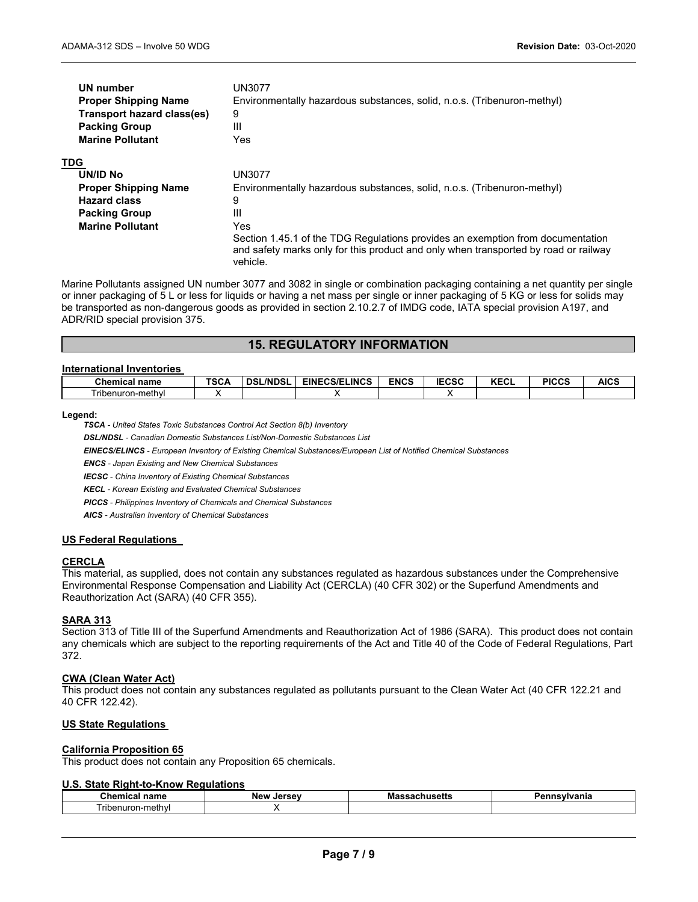| UN number<br><b>Proper Shipping Name</b><br>Transport hazard class(es) | UN3077<br>Environmentally hazardous substances, solid, n.o.s. (Tribenuron-methyl)<br>9          |
|------------------------------------------------------------------------|-------------------------------------------------------------------------------------------------|
| <b>Packing Group</b>                                                   | Ш                                                                                               |
| <b>Marine Pollutant</b>                                                | Yes                                                                                             |
| <b>TDG</b>                                                             |                                                                                                 |
| UN/ID No                                                               | UN3077                                                                                          |
| <b>Proper Shipping Name</b>                                            | Environmentally hazardous substances, solid, n.o.s. (Tribenuron-methyl)                         |
| <b>Hazard class</b>                                                    | 9                                                                                               |
| <b>Packing Group</b>                                                   | Ш                                                                                               |
| <b>Marine Pollutant</b>                                                | Yes                                                                                             |
|                                                                        | Section 1.45.1 of the TDG Regulations provides an exemption from documentation                  |
|                                                                        | and safety marks only for this product and only when transported by road or railway<br>vehicle. |

Marine Pollutants assigned UN number 3077 and 3082 in single or combination packaging containing a net quantity per single or inner packaging of 5 L or less for liquids or having a net mass per single or inner packaging of 5 KG or less for solids may be transported as non-dangerous goods as provided in section 2.10.2.7 of IMDG code, IATA special provision A197, and ADR/RID special provision 375.

## **15. REGULATORY INFORMATION**

#### **International Inventories**

| <b>Chemical name</b>                      | $T^{\wedge}$<br>っしょ | <b>NDSL</b><br><b>DSI</b> | <b>EINECS/ELINCS</b> | <b>ENCS</b> | <b>IECSC</b> | <b>KECL</b> | <b>PICCS</b> | <b>AICS</b> |
|-------------------------------------------|---------------------|---------------------------|----------------------|-------------|--------------|-------------|--------------|-------------|
| $- \cdot \cdot$<br>∍nuron-meth∨l<br>riben |                     |                           |                      |             |              |             |              |             |

#### **Legend:**

*TSCA - United States Toxic Substances Control Act Section 8(b) Inventory* 

*DSL/NDSL - Canadian Domestic Substances List/Non-Domestic Substances List* 

*EINECS/ELINCS - European Inventory of Existing Chemical Substances/European List of Notified Chemical Substances* 

*ENCS - Japan Existing and New Chemical Substances* 

*IECSC - China Inventory of Existing Chemical Substances* 

*KECL - Korean Existing and Evaluated Chemical Substances* 

*PICCS - Philippines Inventory of Chemicals and Chemical Substances* 

*AICS - Australian Inventory of Chemical Substances* 

#### **US Federal Regulations**

#### **CERCLA**

This material, as supplied, does not contain any substances regulated as hazardous substances under the Comprehensive Environmental Response Compensation and Liability Act (CERCLA) (40 CFR 302) or the Superfund Amendments and Reauthorization Act (SARA) (40 CFR 355).

#### **SARA 313**

Section 313 of Title III of the Superfund Amendments and Reauthorization Act of 1986 (SARA). This product does not contain any chemicals which are subject to the reporting requirements of the Act and Title 40 of the Code of Federal Regulations, Part 372.

#### **CWA (Clean Water Act)**

This product does not contain any substances regulated as pollutants pursuant to the Clean Water Act (40 CFR 122.21 and 40 CFR 122.42).

#### **US State Regulations**

#### **California Proposition 65**

This product does not contain any Proposition 65 chemicals.

#### **U.S. State Right-to-Know Regulations**

| :hemical<br><b>BODY</b><br>name                          | New<br><b>Jersey</b> | - -<br>$    -$<br>$\sim$<br>IVICI<br> | nnsvivania |
|----------------------------------------------------------|----------------------|---------------------------------------|------------|
| $\overline{\phantom{a}}$<br>i ribenuron<br>methyl<br>. . |                      |                                       |            |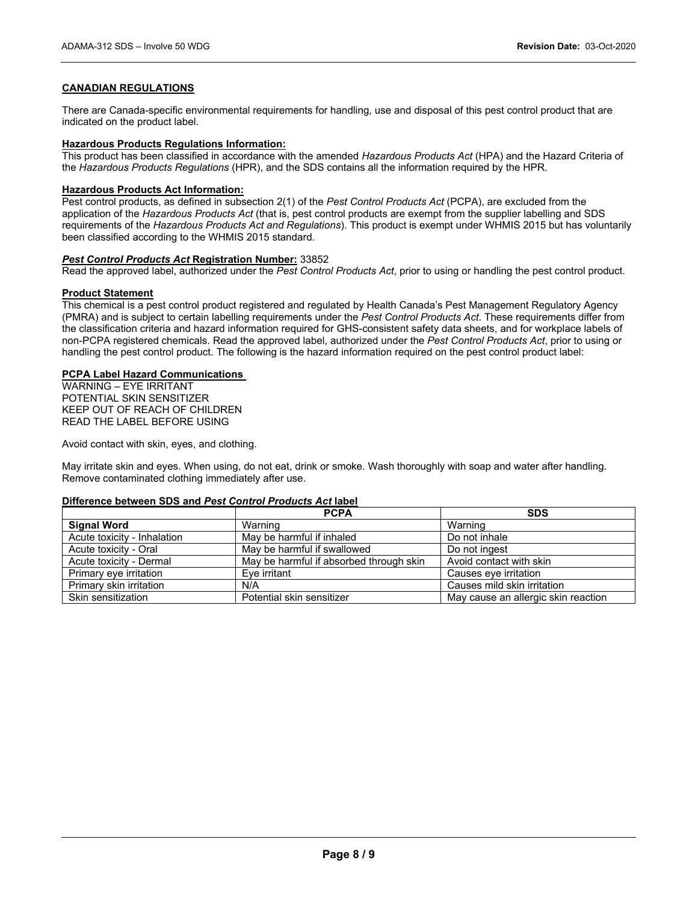## **CANADIAN REGULATIONS**

There are Canada-specific environmental requirements for handling, use and disposal of this pest control product that are indicated on the product label.

#### **Hazardous Products Regulations Information:**

This product has been classified in accordance with the amended *Hazardous Products Act* (HPA) and the Hazard Criteria of the *Hazardous Products Regulations* (HPR), and the SDS contains all the information required by the HPR.

#### **Hazardous Products Act Information:**

Pest control products, as defined in subsection 2(1) of the *Pest Control Products Act* (PCPA), are excluded from the application of the *Hazardous Products Act* (that is, pest control products are exempt from the supplier labelling and SDS requirements of the *Hazardous Products Act and Regulations*). This product is exempt under WHMIS 2015 but has voluntarily been classified according to the WHMIS 2015 standard.

## *Pest Control Products Act* **Registration Number:** 33852

Read the approved label, authorized under the *Pest Control Products Act*, prior to using or handling the pest control product.

#### **Product Statement**

This chemical is a pest control product registered and regulated by Health Canada's Pest Management Regulatory Agency (PMRA) and is subject to certain labelling requirements under the *Pest Control Products Act*. These requirements differ from the classification criteria and hazard information required for GHS-consistent safety data sheets, and for workplace labels of non-PCPA registered chemicals. Read the approved label, authorized under the *Pest Control Products Act*, prior to using or handling the pest control product. The following is the hazard information required on the pest control product label:

#### **PCPA Label Hazard Communications**

WARNING – EYE IRRITANT POTENTIAL SKIN SENSITIZER KEEP OUT OF REACH OF CHILDREN READ THE LABEL BEFORE USING

Avoid contact with skin, eyes, and clothing.

May irritate skin and eyes. When using, do not eat, drink or smoke. Wash thoroughly with soap and water after handling. Remove contaminated clothing immediately after use.

#### **Difference between SDS and** *Pest Control Products Act* **label**

|                             | <b>PCPA</b>                             | <b>SDS</b>                          |
|-----------------------------|-----------------------------------------|-------------------------------------|
| <b>Signal Word</b>          | Warning                                 | Warning                             |
| Acute toxicity - Inhalation | May be harmful if inhaled               | Do not inhale                       |
| Acute toxicity - Oral       | May be harmful if swallowed             | Do not ingest                       |
| Acute toxicity - Dermal     | May be harmful if absorbed through skin | Avoid contact with skin             |
| Primary eye irritation      | Eve irritant                            | Causes eye irritation               |
| Primary skin irritation     | N/A                                     | Causes mild skin irritation         |
| Skin sensitization          | Potential skin sensitizer               | May cause an allergic skin reaction |